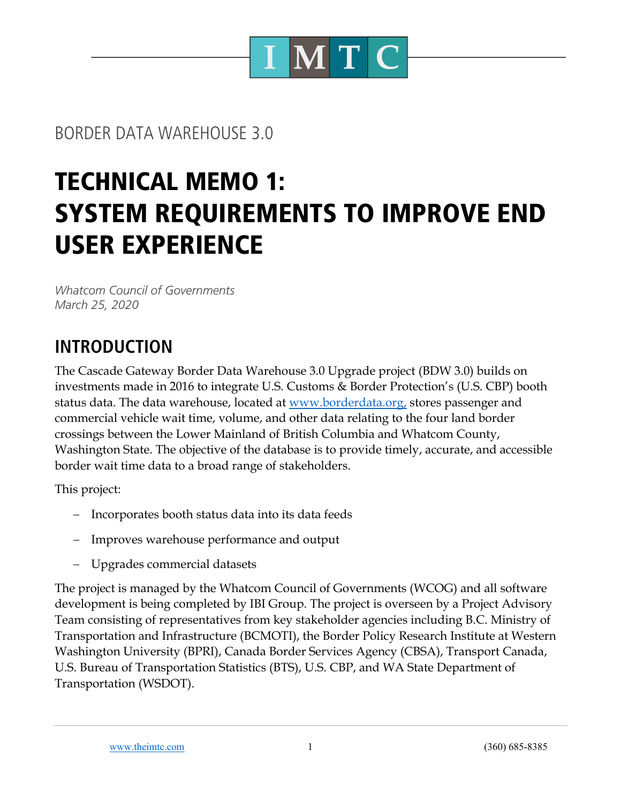

## BORDER DATA WAREHOUSE 3.0

# TECHNICAL MEMO 1: SYSTEM REQUIREMENTS TO IMPROVE END USER EXPERIENCE

*Whatcom Council of Governments March 25, 2020*

# **INTRODUCTION**

The Cascade Gateway Border Data Warehouse 3.0 Upgrade project (BDW 3.0) builds on investments made in 2016 to integrate U.S. Customs & Border Protection's (U.S. CBP) booth status data. The data warehouse, located at www.borderdata.org, stores passenger and commercial vehicle wait time, volume, and other data relating to the four land border crossings between the Lower Mainland of British Columbia and Whatcom County, Washington State. The objective of the database is to provide timely, accurate, and accessible border wait time data to a broad range of stakeholders.

This project:

- Incorporates booth status data into its data feeds
- Improves warehouse performance and output
- Upgrades commercial datasets

The project is managed by the Whatcom Council of Governments (WCOG) and all software development is being completed by IBI Group. The project is overseen by a Project Advisory Team consisting of representatives from key stakeholder agencies including B.C. Ministry of Transportation and Infrastructure (BCMOTI), the Border Policy Research Institute at Western Washington University (BPRI), Canada Border Services Agency (CBSA), Transport Canada, U.S. Bureau of Transportation Statistics (BTS), U.S. CBP, and WA State Department of Transportation (WSDOT).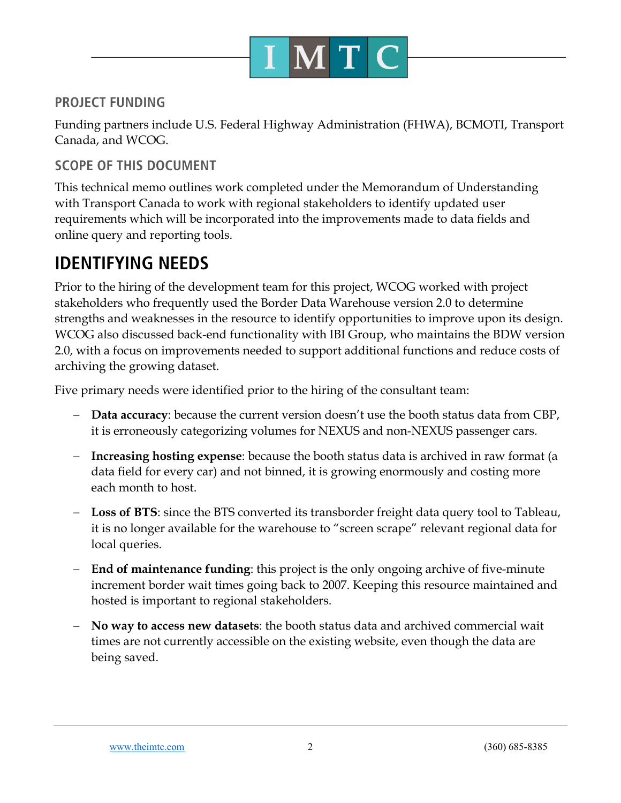

#### **PROJECT FUNDING**

Funding partners include U.S. Federal Highway Administration (FHWA), BCMOTI, Transport Canada, and WCOG.

#### **SCOPE OF THIS DOCUMENT**

This technical memo outlines work completed under the Memorandum of Understanding with Transport Canada to work with regional stakeholders to identify updated user requirements which will be incorporated into the improvements made to data fields and online query and reporting tools.

### **IDENTIFYING NEEDS**

Prior to the hiring of the development team for this project, WCOG worked with project stakeholders who frequently used the Border Data Warehouse version 2.0 to determine strengths and weaknesses in the resource to identify opportunities to improve upon its design. WCOG also discussed back-end functionality with IBI Group, who maintains the BDW version 2.0, with a focus on improvements needed to support additional functions and reduce costs of archiving the growing dataset.

Five primary needs were identified prior to the hiring of the consultant team:

- **Data accuracy**: because the current version doesn't use the booth status data from CBP, it is erroneously categorizing volumes for NEXUS and non-NEXUS passenger cars.
- **Increasing hosting expense**: because the booth status data is archived in raw format (a data field for every car) and not binned, it is growing enormously and costing more each month to host.
- **Loss of BTS**: since the BTS converted its transborder freight data query tool to Tableau, it is no longer available for the warehouse to "screen scrape" relevant regional data for local queries.
- **End of maintenance funding**: this project is the only ongoing archive of five-minute increment border wait times going back to 2007. Keeping this resource maintained and hosted is important to regional stakeholders.
- **No way to access new datasets**: the booth status data and archived commercial wait times are not currently accessible on the existing website, even though the data are being saved.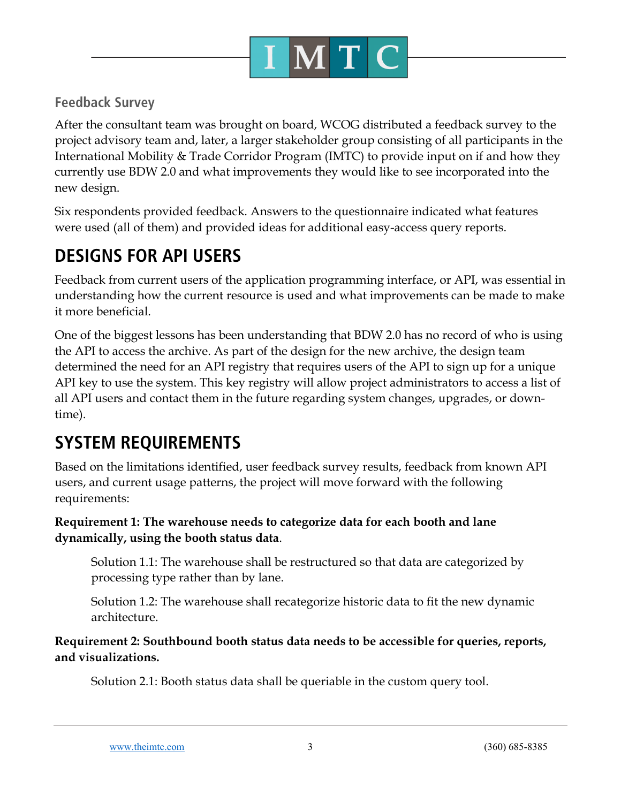

#### **Feedback Survey**

After the consultant team was brought on board, WCOG distributed a feedback survey to the project advisory team and, later, a larger stakeholder group consisting of all participants in the International Mobility & Trade Corridor Program (IMTC) to provide input on if and how they currently use BDW 2.0 and what improvements they would like to see incorporated into the new design.

Six respondents provided feedback. Answers to the questionnaire indicated what features were used (all of them) and provided ideas for additional easy-access query reports.

# **DESIGNS FOR API USERS**

Feedback from current users of the application programming interface, or API, was essential in understanding how the current resource is used and what improvements can be made to make it more beneficial.

One of the biggest lessons has been understanding that BDW 2.0 has no record of who is using the API to access the archive. As part of the design for the new archive, the design team determined the need for an API registry that requires users of the API to sign up for a unique API key to use the system. This key registry will allow project administrators to access a list of all API users and contact them in the future regarding system changes, upgrades, or downtime).

# **SYSTEM REQUIREMENTS**

Based on the limitations identified, user feedback survey results, feedback from known API users, and current usage patterns, the project will move forward with the following requirements:

#### **Requirement 1: The warehouse needs to categorize data for each booth and lane dynamically, using the booth status data**.

Solution 1.1: The warehouse shall be restructured so that data are categorized by processing type rather than by lane.

Solution 1.2: The warehouse shall recategorize historic data to fit the new dynamic architecture.

**Requirement 2: Southbound booth status data needs to be accessible for queries, reports, and visualizations.**

Solution 2.1: Booth status data shall be queriable in the custom query tool.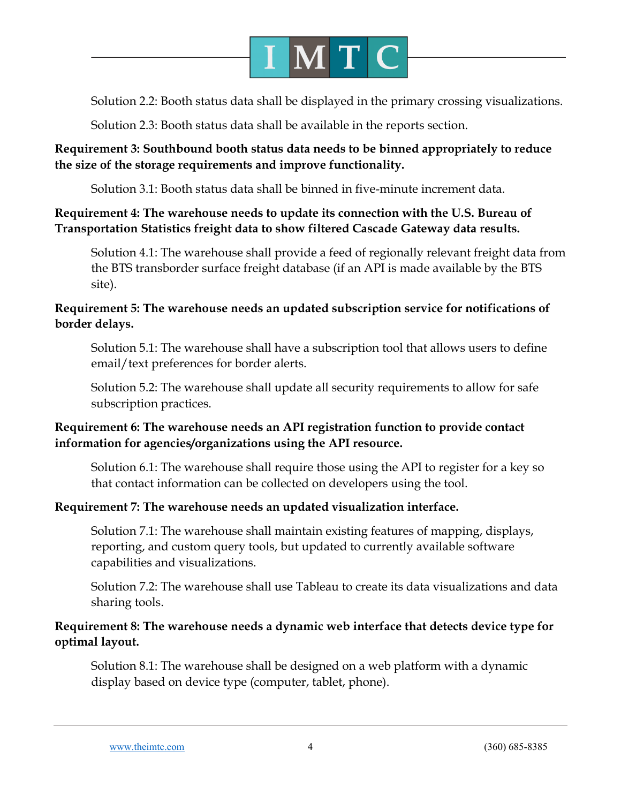

Solution 2.2: Booth status data shall be displayed in the primary crossing visualizations.

Solution 2.3: Booth status data shall be available in the reports section.

#### **Requirement 3: Southbound booth status data needs to be binned appropriately to reduce the size of the storage requirements and improve functionality.**

Solution 3.1: Booth status data shall be binned in five-minute increment data.

#### **Requirement 4: The warehouse needs to update its connection with the U.S. Bureau of Transportation Statistics freight data to show filtered Cascade Gateway data results.**

Solution 4.1: The warehouse shall provide a feed of regionally relevant freight data from the BTS transborder surface freight database (if an API is made available by the BTS site).

#### **Requirement 5: The warehouse needs an updated subscription service for notifications of border delays.**

Solution 5.1: The warehouse shall have a subscription tool that allows users to define email/text preferences for border alerts.

Solution 5.2: The warehouse shall update all security requirements to allow for safe subscription practices.

#### **Requirement 6: The warehouse needs an API registration function to provide contact information for agencies/organizations using the API resource.**

Solution 6.1: The warehouse shall require those using the API to register for a key so that contact information can be collected on developers using the tool.

#### **Requirement 7: The warehouse needs an updated visualization interface.**

Solution 7.1: The warehouse shall maintain existing features of mapping, displays, reporting, and custom query tools, but updated to currently available software capabilities and visualizations.

Solution 7.2: The warehouse shall use Tableau to create its data visualizations and data sharing tools.

#### **Requirement 8: The warehouse needs a dynamic web interface that detects device type for optimal layout.**

Solution 8.1: The warehouse shall be designed on a web platform with a dynamic display based on device type (computer, tablet, phone).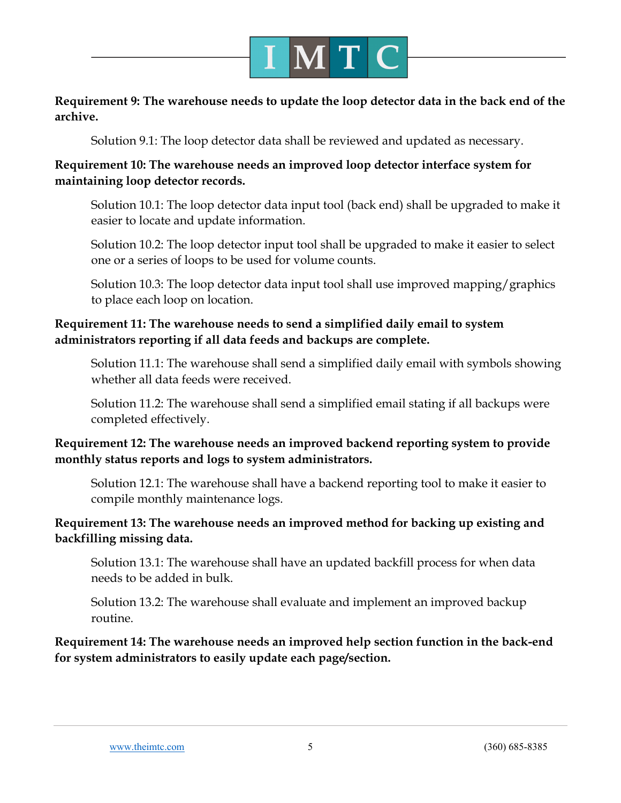

#### **Requirement 9: The warehouse needs to update the loop detector data in the back end of the archive.**

Solution 9.1: The loop detector data shall be reviewed and updated as necessary.

#### **Requirement 10: The warehouse needs an improved loop detector interface system for maintaining loop detector records.**

Solution 10.1: The loop detector data input tool (back end) shall be upgraded to make it easier to locate and update information.

Solution 10.2: The loop detector input tool shall be upgraded to make it easier to select one or a series of loops to be used for volume counts.

Solution 10.3: The loop detector data input tool shall use improved mapping/graphics to place each loop on location.

#### **Requirement 11: The warehouse needs to send a simplified daily email to system administrators reporting if all data feeds and backups are complete.**

Solution 11.1: The warehouse shall send a simplified daily email with symbols showing whether all data feeds were received.

Solution 11.2: The warehouse shall send a simplified email stating if all backups were completed effectively.

#### **Requirement 12: The warehouse needs an improved backend reporting system to provide monthly status reports and logs to system administrators.**

Solution 12.1: The warehouse shall have a backend reporting tool to make it easier to compile monthly maintenance logs.

#### **Requirement 13: The warehouse needs an improved method for backing up existing and backfilling missing data.**

Solution 13.1: The warehouse shall have an updated backfill process for when data needs to be added in bulk.

Solution 13.2: The warehouse shall evaluate and implement an improved backup routine.

**Requirement 14: The warehouse needs an improved help section function in the back-end for system administrators to easily update each page/section.**